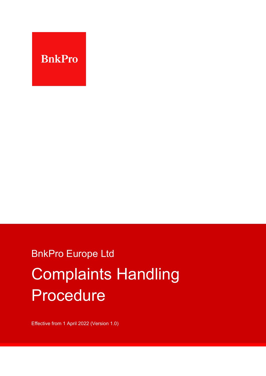

# BnkPro Europe Ltd Complaints Handling Procedure

Effective from 1 April 2022 (Version 1.0)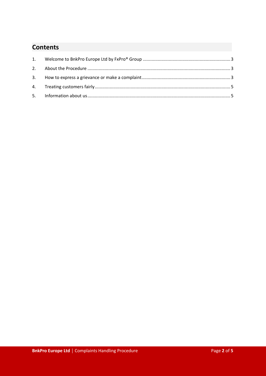## **Contents**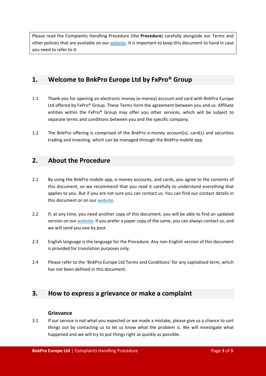Please read the Complaints Handling Procedure (the **Procedure**) carefully alongside our Terms and other policies that are available on our [web](https://bnkpro.com/)site. It is important to keep this document to hand in case you need to refer to it.

## <span id="page-2-0"></span>**1. Welcome to BnkPro Europe Ltd by FxPro® Group**

- 1.1 Thank you for opening an electronic money (e-money) account and card with BnkPro Europe Ltd offered by FxPro® Group. These Terms form the agreement between you and us. Affiliate entities within the FxPro® Group may offer you other services, which will be subject to separate terms and conditions between you and the specific company.
- 1.2 The BnkPro offering is comprised of the BnkPro e-money account(s), card(s) and securities trading and investing, which can be managed through the BnkPro mobile app.

## <span id="page-2-1"></span>**2. About the Procedure**

- 2.1 By using the BnkPro mobile app, e-money accounts, and cards, you agree to the contents of this document, so we recommend that you read it carefully to understand everything that applies to you. But if you are not sure you can contact us. You can find our contact details in this document or on our [web](https://bnkpro.com/)site.
- 2.2 If, at any time, you need another copy of this document, you will be able to find an updated version on our [web](https://bnkpro.com/)site. If you prefer a paper copy of the same, you can always contact us, and we will send you one by post.
- 2.3 English language is the language for the Procedure. Any non-English version of this document is provided for translation purposes only.
- 2.4 Please refer to the 'BnkPro Europe Ltd Terms and Conditions' for any capitalised term, which has not been defined in this document.

## <span id="page-2-2"></span>**3. How to express a grievance or make a complaint**

#### **Grievance**

3.1 If our service is not what you expected or we made a mistake, please give us a chance to sort things out by contacting us to let us know what the problem is. We will investigate what happened and we will try to put things right as quickly as possible.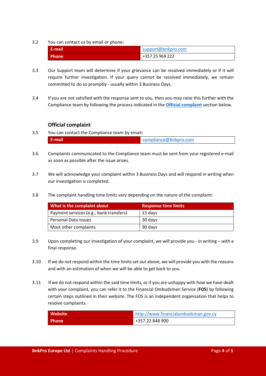#### 3.2 You can contact us by email or phone:

| E-mail       | support@bnkpro.com |
|--------------|--------------------|
| <b>Phone</b> | +357 25 969 222    |

- 3.3 Our Support team will determine if your grievance can be resolved immediately or if it will require further investigation. If your query cannot be resolved immediately, we remain committed to do so promptly - usually within 3 Business Days.
- 3.4 If you are not satisfied with the response sent to you, then you may raise this further with the Compliance team by following the process indicated in the **[Official complaint](#page-3-0)** section below.

#### **Official complaint**

- <span id="page-3-0"></span>3.5 You can contact the Compliance team by email: **E-mail** [compliance@bnkpro.com](mailto:compliance@bnkpro.com)
- 3.6 Complaints communicated to the Compliance team must be sent from your registered e-mail as soon as possible after the issue arises.
- 3.7 We will acknowledge your complaint within 3 Business Days and will respond in writing when our investigation is completed.
- 3.8 The complaint handling time limits vary depending on the nature of the complaint:

| What is the complaint about             | <b>Response time limits</b> |
|-----------------------------------------|-----------------------------|
| Payment services (e.g., bank transfers) | 15 days                     |
| Personal Data issues                    | 30 days                     |
| Most other complaints                   | 90 days                     |

- 3.9 Upon completing our investigation of your complaint, we will provide you in writing with a final response.
- 3.10 If we do not respond within the time limits set out above, we will provide you with the reasons and with an estimation of when we will be able to get back to you.
- 3.11 If we do not respond within the said time limits, or if you are unhappy with how we have dealt with your complaint, you can refer it to the Financial Ombudsman Service (**FOS**) by following certain steps outlined in their website. The FOS is an independent organisation that helps to resolve complaints.

| <b>Website</b> | http://www.financialombudsman.gov.cy |
|----------------|--------------------------------------|
| <b>Phone</b>   | +357 22 848 900                      |